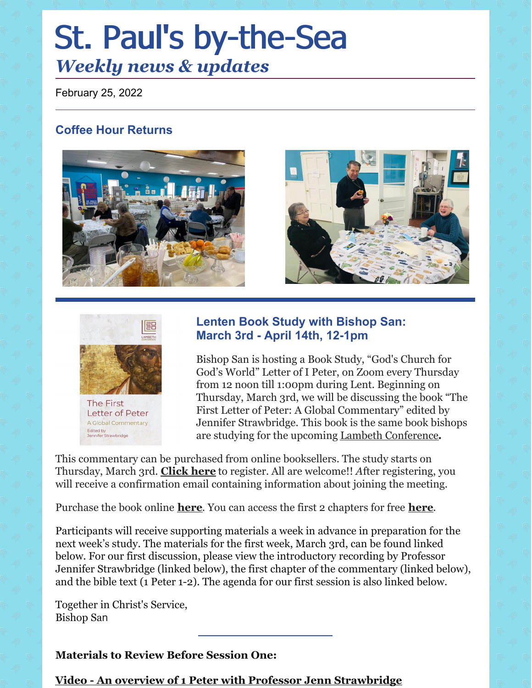# St. Paul's by-the-Sea *Weekly news & updates*

February 25, 2022

### **Coffee Hour Returns**







**Letter of Peter** A Global Commentary Edited by<br>Jennifer Strawbridge

#### **Lenten Book Study with Bishop San: March 3rd - April 14th, 12-1pm**

Bishop San is hosting a Book Study, "God's Church for God's World" Letter of I Peter, on Zoom every Thursday from 12 noon till 1:00pm during Lent. Beginning on Thursday, March 3rd, we will be discussing the book "The First Letter of Peter: A Global Commentary" edited by Jennifer Strawbridge. This book is the same book bishops are studying for the upcoming Lambeth [Conference](https://r20.rs6.net/tn.jsp?f=001tI3TR2145iQFa8ytw5APFhxfcJt5ENHh7bueUgt3r7cNSwY1MQdZVDQ1EHWKT74sBifbTWoq486PVBmE19SOcgZaS20wVzNvlD3FEUlLAfbWMqglIxWVgsEPbzefpVx3jwE-lOePfx0YZCHVJI61OQ9BRhdB5TY0&c=Uv9cJK_2HlzhLY1WdgWjohlWUqBP8xNXnU6FljQz5cctZnjQo5DWQQ==&ch=-ulQM7qQgM7uQKMSJUlmkOxn2nmaS0fru3GGQC4oZfovTdvfYTd05Q==)*.*

This commentary can be purchased from online booksellers. The study starts on Thursday, March 3rd. **[Click](https://r20.rs6.net/tn.jsp?f=001tI3TR2145iQFa8ytw5APFhxfcJt5ENHh7bueUgt3r7cNSwY1MQdZVDQ1EHWKT74sawOk2sqpVnoj62ljkGcFSBzc8FwOpG4519XL7bWX2WDXUVM5KHvywfx5aOLpegbiNJodq8Evx2cVEIb370ieiVNLukbQndWr8gZiSqMc4js0OLC5QxyB8FEtbfIiDKo6pXk5ZGxqFdtWdFXyT3VuS2ivd3v5cu_D&c=Uv9cJK_2HlzhLY1WdgWjohlWUqBP8xNXnU6FljQz5cctZnjQo5DWQQ==&ch=-ulQM7qQgM7uQKMSJUlmkOxn2nmaS0fru3GGQC4oZfovTdvfYTd05Q==) here** to register. All are welcome!! *A*fter registering, you will receive a confirmation email containing information about joining the meeting.

Purchase the book online **[here](https://r20.rs6.net/tn.jsp?f=001tI3TR2145iQFa8ytw5APFhxfcJt5ENHh7bueUgt3r7cNSwY1MQdZVDQ1EHWKT74sCVdjzVOaU7j1P06xtFobUiqb5anrySGk0_KHUs_u4LolXSGIud-B1y226AQL4Y9mvJeZBNSxSHM6hWBRmwkSErTl_VJeMb-fcS8ig8zb2cJGc09o7srK4L5s-HuMM68dpSOgoK3Ecdv8Z85p0QSjMAO7B0ebj-MMrNaQdxvVdNcUFxIrm46kQIESPQcZSrbQIvnlH2eFjqAKLISefrr3AYL2YjqywP1U9ewyYZKyR_1OM20qbFYN1TjSaAQgfjSIRbhOW_wE0lhX3OpkjwPXVenNUxNS5rUro06bv9_jCCVFexUCA6eWFuHwJohOiS3ngnUV3EG3fN8nev0X0tsaaUeCTLgbju3SBMga9vQwXVcz9DFtxjbHkp1Uhqi_I-Q75LeAJYIMaRlLLwmIQM_ErdDfZWwOOOjVSQyIUYT5x-QekzeyJ5xcUq2IfAqbM88j9qtwAxykCvI=&c=Uv9cJK_2HlzhLY1WdgWjohlWUqBP8xNXnU6FljQz5cctZnjQo5DWQQ==&ch=-ulQM7qQgM7uQKMSJUlmkOxn2nmaS0fru3GGQC4oZfovTdvfYTd05Q==)**. You can access the first 2 chapters for free **[here](https://r20.rs6.net/tn.jsp?f=001tI3TR2145iQFa8ytw5APFhxfcJt5ENHh7bueUgt3r7cNSwY1MQdZVDQ1EHWKT74sv74Ed8tug15nX6MgAOWDAVBeeddecrnPg0O5CL6zzlajgcNuFTznUPUGWdnLVkBGybmJbmEbmVwQs7Du5psI5atQAI4HzrRlL2r0bCaiRAXRix8tlCedGXUWdUZA3KdVUbecqS_Qf3zyMKsiT590yqjVaFX7ouAPWuv6vriJQe0=&c=Uv9cJK_2HlzhLY1WdgWjohlWUqBP8xNXnU6FljQz5cctZnjQo5DWQQ==&ch=-ulQM7qQgM7uQKMSJUlmkOxn2nmaS0fru3GGQC4oZfovTdvfYTd05Q==)**.

Participants will receive supporting materials a week in advance in preparation for the next week's study. The materials for the first week, March 3rd, can be found linked below. For our first discussion, please view the introductory recording by Professor Jennifer Strawbridge (linked below), the first chapter of the commentary (linked below), and the bible text (1 Peter 1-2). The agenda for our first session is also linked below.

Together in Christ's Service, Bishop San

#### **Materials to Review Before Session One:**

**Video - An overview of 1 Peter with Professor Jenn [Strawbridge](https://r20.rs6.net/tn.jsp?f=001tI3TR2145iQFa8ytw5APFhxfcJt5ENHh7bueUgt3r7cNSwY1MQdZVDQ1EHWKT74s_HlUDuW4N0hJOpfQXhD1-q1Z22dPVxYmhg_Kn6BNTOz0X5JMNyZK0To3Ietibvkuh495Ch5OFhe7mjzhIX-yvZ4U2-8xis-UwNbl2S7x3nmHQvhM0Lzs_Bv1UHlBzXP2YZOOYGiBNFaFOP3jwS675M_Q45zz3eIJ&c=Uv9cJK_2HlzhLY1WdgWjohlWUqBP8xNXnU6FljQz5cctZnjQo5DWQQ==&ch=-ulQM7qQgM7uQKMSJUlmkOxn2nmaS0fru3GGQC4oZfovTdvfYTd05Q==)**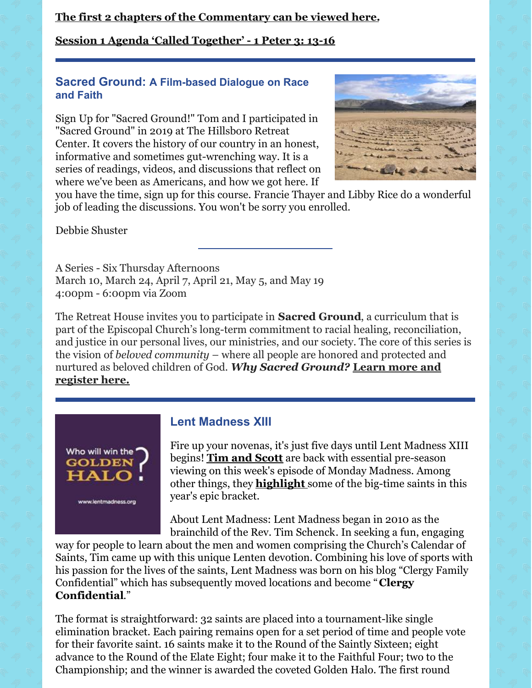#### **The first 2 chapters of the [Commentary](https://r20.rs6.net/tn.jsp?f=001tI3TR2145iQFa8ytw5APFhxfcJt5ENHh7bueUgt3r7cNSwY1MQdZVDQ1EHWKT74sv74Ed8tug15nX6MgAOWDAVBeeddecrnPg0O5CL6zzlajgcNuFTznUPUGWdnLVkBGybmJbmEbmVwQs7Du5psI5atQAI4HzrRlL2r0bCaiRAXRix8tlCedGXUWdUZA3KdVUbecqS_Qf3zyMKsiT590yqjVaFX7ouAPWuv6vriJQe0=&c=Uv9cJK_2HlzhLY1WdgWjohlWUqBP8xNXnU6FljQz5cctZnjQo5DWQQ==&ch=-ulQM7qQgM7uQKMSJUlmkOxn2nmaS0fru3GGQC4oZfovTdvfYTd05Q==) can be viewed here.**

# **Session 1 Agenda 'Called [Together'](https://r20.rs6.net/tn.jsp?f=001tI3TR2145iQFa8ytw5APFhxfcJt5ENHh7bueUgt3r7cNSwY1MQdZVDQ1EHWKT74si4BEgvajU59YhYGCZtIY3DigY1v00cI3VWEd8POwoTCSfYDExrzgBgFRrbhFNqUHd6hig6TH7F8Kmg_VyOpFwJftm1uaekxYlReyXxPWiHdYM_dHzjYgdmZDW3tJhO3vjkAKX5E_IT7nS_5Bu_lc4A==&c=Uv9cJK_2HlzhLY1WdgWjohlWUqBP8xNXnU6FljQz5cctZnjQo5DWQQ==&ch=-ulQM7qQgM7uQKMSJUlmkOxn2nmaS0fru3GGQC4oZfovTdvfYTd05Q==) - 1 Peter 3: 13-16**

#### **Sacred Ground: A Film-based Dialogue on Race and Faith**

Sign Up for "Sacred Ground!" Tom and I participated in "Sacred Ground" in 2019 at The Hillsboro Retreat Center. It covers the history of our country in an honest, informative and sometimes gut-wrenching way. It is a series of readings, videos, and discussions that reflect on where we've been as Americans, and how we got here. If



you have the time, sign up for this course. Francie Thayer and Libby Rice do a wonderful job of leading the discussions. You won't be sorry you enrolled.

Debbie Shuster

A Series - Six Thursday Afternoons March 10, March 24, April 7, April 21, May 5, and May 19 4:00pm - 6:00pm via Zoom

The Retreat House invites you to participate in **Sacred Ground**, a curriculum that is part of the Episcopal Church's long-term commitment to racial healing, reconciliation, and justice in our personal lives, our ministries, and our society. The core of this series is the vision of *beloved community* – where all people are honored and protected and nurtured as beloved children of God. *Why Sacred [Ground?](https://r20.rs6.net/tn.jsp?f=001L_2hKSPacO5NOzx3KS4Zc23rcJ1CNYfIu0oEBV-Czxx7qkZz8OelyqA9YRyPNBOe2JVrLV1Nhbg2xnq6AoMbh_u04frDmwK2xbuw9XrUv-_otZiZ7S-SB-wthSM-Kls9CZL9KQOAseivT_B6lr2h4w==&c=VU3ELLfMP3BJKk4IUH6UVevOBVpCUQdbtHrALwKp_S64BvDR_2dLtA==&ch=hb05yjpcDSnUB8P1db69z8qPnJkF9w4RuJ3s45bIWzvEziG6NUFtpA==)* **Learn more and register here.**



#### **Lent Madness XIII**

Fire up your novenas, it's just five days until Lent Madness XIII begins! **Tim and [Scott](https://www.lentmadness.org/tim-and-scott/)** are back with essential pre-season viewing on this week's episode of Monday Madness. Among other things, they **[highlight](https://youtu.be/d6tpiI39Kic)** some of the big-time saints in this year's epic bracket.

About Lent Madness: Lent Madness began in 2010 as the brainchild of the Rev. Tim Schenck. In seeking a fun, engaging

way for people to learn about the men and women comprising the Church's Calendar of Saints, Tim came up with this unique Lenten devotion. Combining his love of sports with his passion for the lives of the saints, Lent Madness was born on his blog "Clergy Family Confidential" which has subsequently moved locations and become "**Clergy [Confidential](http://clergyconfidential.blogspot.com/)**."

The format is straightforward: 32 saints are placed into a tournament-like single elimination bracket. Each pairing remains open for a set period of time and people vote for their favorite saint. 16 saints make it to the Round of the Saintly Sixteen; eight advance to the Round of the Elate Eight; four make it to the Faithful Four; two to the Championship; and the winner is awarded the coveted Golden Halo. The first round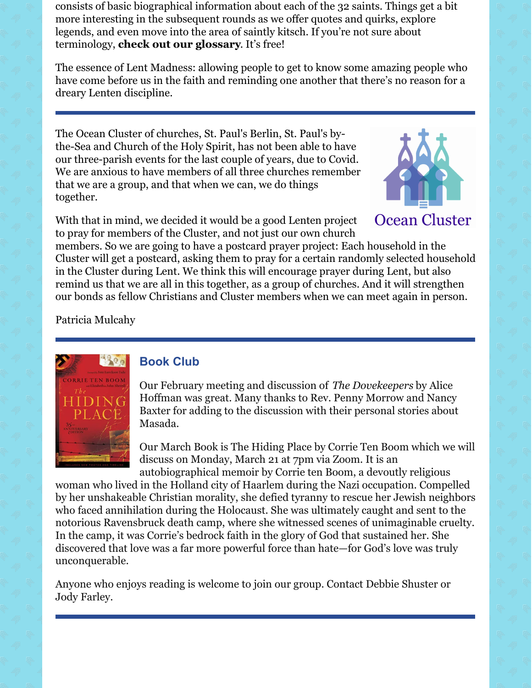consists of basic biographical information about each of the 32 saints. Things get a bit more interesting in the subsequent rounds as we offer quotes and quirks, explore legends, and even move into the area of saintly kitsch. If you're not sure about terminology, **check out our [glossary](https://www.lentmadness.org/wp-content/uploads/2012/01/LENT-MADNESS-GLOSSARY.pdf)**. It's free!

The essence of Lent Madness: allowing people to get to know some amazing people who have come before us in the faith and reminding one another that there's no reason for a dreary Lenten discipline.

The Ocean Cluster of churches, St. Paul's Berlin, St. Paul's bythe-Sea and Church of the Holy Spirit, has not been able to have our three-parish events for the last couple of years, due to Covid. We are anxious to have members of all three churches remember that we are a group, and that when we can, we do things together.

With that in mind, we decided it would be a good Lenten project to pray for members of the Cluster, and not just our own church



**Ocean Cluster** 

members. So we are going to have a postcard prayer project: Each household in the Cluster will get a postcard, asking them to pray for a certain randomly selected household in the Cluster during Lent. We think this will encourage prayer during Lent, but also remind us that we are all in this together, as a group of churches. And it will strengthen our bonds as fellow Christians and Cluster members when we can meet again in person.

Patricia Mulcahy



# **Book Club**

Our February meeting and discussion of *The Dovekeepers* by Alice Hoffman was great. Many thanks to Rev. Penny Morrow and Nancy Baxter for adding to the discussion with their personal stories about Masada.

Our March Book is The Hiding Place by Corrie Ten Boom which we will discuss on Monday, March 21 at 7pm via Zoom. It is an autobiographical memoir by Corrie ten Boom, a devoutly religious

woman who lived in the Holland city of Haarlem during the Nazi occupation. Compelled by her unshakeable Christian morality, she defied tyranny to rescue her Jewish neighbors who faced annihilation during the Holocaust. She was ultimately caught and sent to the notorious Ravensbruck death camp, where she witnessed scenes of unimaginable cruelty. In the camp, it was Corrie's bedrock faith in the glory of God that sustained her. She discovered that love was a far more powerful force than hate—for God's love was truly unconquerable.

Anyone who enjoys reading is welcome to join our group. Contact Debbie Shuster or Jody Farley.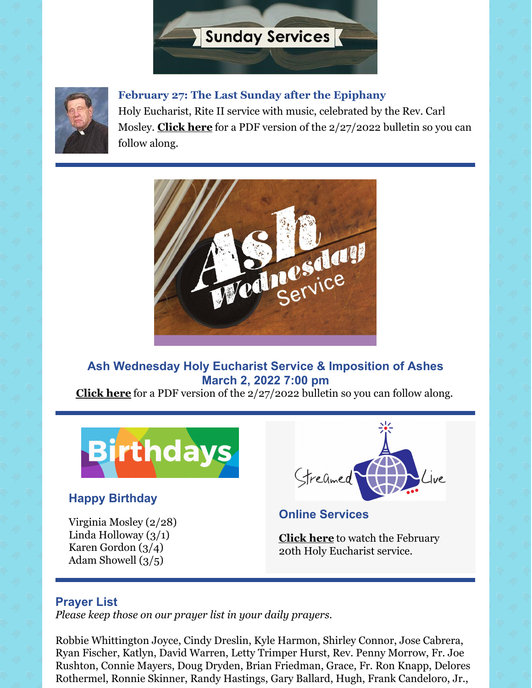# **Sunday Services**



**February 27: The Last Sunday after the Epiphany**

Holy Eucharist, Rite II service with music, celebrated by the Rev. Carl Mosley. **[Click](https://files.constantcontact.com/2d81fdc6201/a3282c87-2d3a-4581-8773-b67a62aa0cba.pdf?rdr=true) here** for a PDF version of the 2/27/2022 bulletin so you can follow along.



#### **Ash Wednesday Holy Eucharist Service & Imposition of Ashes March 2, 2022 7:00 pm**

**[Click](https://files.constantcontact.com/2d81fdc6201/4226d2b3-ccdb-4dbc-8dc5-28aa1f2feb84.pdf?rdr=true) here** for a PDF version of the 2/27/2022 bulletin so you can follow along.



# **Happy Birthday**

Virginia Mosley (2/28) Linda Holloway (3/1) Karen Gordon (3/4) Adam Showell (3/5)



**Online Services**

**[Click](https://www.facebook.com/StPaulsByTheSeaEpsicopalChurch/videos/422261326316706) here** to watch the February 20th Holy Eucharist service.

# **Prayer List**

*Please keep those on our prayer list in your daily prayers.*

Robbie Whittington Joyce, Cindy Dreslin, Kyle Harmon, Shirley Connor, Jose Cabrera, Ryan Fischer, Katlyn, David Warren, Letty Trimper Hurst, Rev. Penny Morrow, Fr. Joe Rushton, Connie Mayers, Doug Dryden, Brian Friedman, Grace, Fr. Ron Knapp, Delores Rothermel, Ronnie Skinner, Randy Hastings, Gary Ballard, Hugh, Frank Candeloro, Jr.,